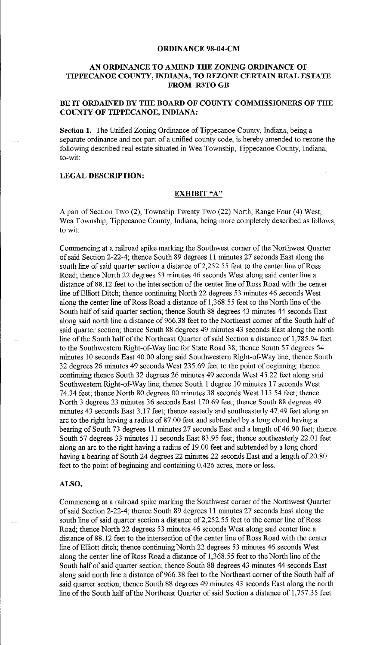#### **ORDINANCE 98-04-CM**

## **AN ORDINANCE TO AMEND THE ZONING ORDINANCE OF TIPPECANOE COUNTY, INDIANA, TO REZONE CERTAIN REAL ESTATE FROM R3TOGB**

# **BE IT ORDAINED BY THE BOARD OF COUNTY COMMISSIONERS OF THE COUNTY OF TIPPECANOE, INDIANA:**

**Section 1.** The Unified Zoning Ordinance of Tippecanoe County, Indiana, being a separate ordinance and not part of a unified county code, is hereby amended to rezone the following described real estate situated in Wea Township, Tippecanoe County, Indiana, to-wit:

### **LEGAL DESCRIPTION:**

### **EXHIBIT "A"**

A part of Section Two (2), Township Twenty Two (22) North, Range Four (4) West, Wea Township, Tippecanoe County, Indiana, being more completely described as follows, to wit:

Commencing at a railroad spike marking the Southwest comer of the Northwest Quarter of said Section 2-22-4; thence South 89 degrees 11 minutes 27 seconds East along the south line of said quarter section a distance of 2,252.55 feet to the center line of Ross Road; thence North 22 degrees 53 minutes 46 seconds West along said center line a distance of 88.12 feet to the intersection of the center line of Ross Road with the center line of Elliott Ditch; thence continuing North 22 degrees 53 minutes 46 seconds West along the center line of Ross Road a distance of 1,368.55 feet to the North line of the South half of said quarter section; thence South 88 degrees 43 minutes 44 seconds East along said north line a distance of 966.38 feet to the Northeast corner of the South half of said quarter section; thence South 88 degrees 49 minutes 43 seconds East along the north line of the South half of the Northeast Quarter of said Section a distance of 1,785.94 feet to the Southwestern Right-of-Way line for State Road 38; thence South 57 degrees 54 minutes 10 seconds East 40.00 along said Southwestern Right-of-Way line; thence South 32 degrees 26 minutes 49 seconds West 235.69 feet to the point of beginning; thence continuing thence South 32 degrees 26 minutes 49 seconds West 45.22 feet along said Southwestern Right-of-Way line; thence South 1 degree 10 minutes 17 seconds West 74.34 feet; thence North 80 degrees 00 minutes 38 seconds West 113.54 feet; thence North 3 degrees 23 minutes 36 seconds East 170.69 feet; thence South 88 degrees 49 minutes 43 seconds East 3.17 feet; thence easterly and southeasterly 47.49 feet along an arc to the right having a radius of 87.00 feet and subtended by a long chord having a bearing of South 73 degrees 11 minutes 27 seconds East and a length of 46.90 feet; thence South 57 degrees 33 minutes 11 seconds East 83.95 feet; thence southeasterly 22.01 feet along an arc to the right having a radius of 19. 00 feet and subtended by a long chord having a bearing of South 24 degrees 22 minutes 22 seconds East and a length of 20.80 feet to the point of beginning and containing 0.426 acres, more or less.

### **ALSO,**

Commencing at a railroad spike marking the Southwest corner of the Northwest Quarter of said Section 2-22-4; thence South 89 degrees 11 minutes 27 seconds East along the south line of said quarter section a distance of 2,252.55 feet to the center line of Ross Road; thence North 22 degrees 53 minutes 46 seconds West along said center line a distance of 88.12 feet to the intersection of the center line of Ross Road with the center line of Elliott ditch; thence continuing North 22 degrees 53 minutes 46 seconds West along the center line of Ross Road a distance of 1,368.55 feet to the North line of the South half of said quarter section; thence South 88 degrees 43 minutes 44 seconds East along said north line a distance of 966.38 feet to the Northeast corner of the South half of said quarter section; thence South 88 degrees 49 minutes 43 seconds East along the north line of the South half of the Northeast Quarter of said Section a distance of 1,757.35 feet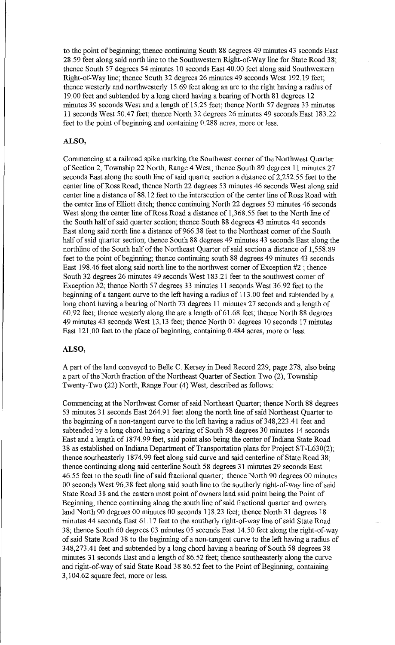to the point of beginning; thence continuing South 88 degrees 49 minutes 43 seconds East 28.59 feet along said north line to the Southwestern Right-of-Way line for State Road 38; thence South 57 degrees 54 minutes 10 seconds East 40.00 feet along said Southwestern Right-of-Way line; thence South 32 degrees 26 minutes 49 seconds West 192.19 feet; thence westerly and northwesterly 15.69 feet along an arc to the right having a radius of 19.00 feet and subtended by a long chord having a bearing of North 81 degrees 12 minutes 39 seconds West and a length of 15.25 feet; thence North 57 degrees 33 minutes 11 seconds West 50.47 feet; thence North 32 degrees 26 minutes 49 seconds East 183.22 feet to the point of beginning and containing 0.288 acres, more or less.

## **ALSO,**

Commencing at a railroad spike marking the Southwest corner of the Northwest Quarter of Section 2, Township 22 North, Range 4 West; thence South 89 degrees 11 minutes 27 seconds East along the south line of said quarter section a distance of 2,252.55 feet to the center line of Ross Road; thence North 22 degrees 53 minutes 46 seconds West along said center line a distance of 88.12 feet to the intersection of the center line of Ross Road with the center line of Elliott ditch; thence continuing North 22 degrees 53 minutes 46 seconds West along the center line of Ross Road a distance of 1,368.55 feet to the North line of the South half of said quarter section; thence South 88 degrees 43 minutes 44 seconds East along said north line a distance of 966.38 feet to the Northeast corner of the South half of said quarter section; thence South 88 degrees 49 minutes 43 seconds East along the northline of the South half of the Northeast Quarter of said section a distance of 1,558.89 feet to the point of beginning; thence continuing south 88 degrees 49 minutes 43 seconds East 198.46 feet along said north line to the northwest corner of Exception #2 ; thence South 32 degrees 26 minutes 49 seconds West 183.21 feet to the southwest corner of Exception #2; thence North 57 degrees 33 minutes 11 seconds West 36.92 feet to the beginning of a tangent curve to the left having a radius of 113. 00 feet and subtended by a long chord having a bearing of North 73 degrees 11 minutes 27 seconds and a length of 60.92 feet; thence westerly along the arc a length of  $61.68$  feet; thence North 88 degrees 49 minutes 43 seconds West 13.13 feet; thence North 01 degrees 10 seconds 17 minutes East 121.00 feet to the place of beginning, containing 0.484 acres, more or less.

# **ALSO,**

A part of the land conveyed to Belle C. Kersey in Deed Record 229, page 278, also being a part of the North fraction of the Northeast Quarter of Section Two (2), Township Twenty-Two (22) North, Range Four (4) West, described as follows:

Commencing at the Northwest Corner of said Northeast Quarter; thence North 88 degrees 53 minutes 31 seconds East 264.91 feet along the north line of said Northeast Quarter to the beginning of a non-tangent curve to the left having a radius of 348,223.41 feet and subtended by a long chord having a bearing of South 58 degrees 30 minutes 14 seconds East and a length of 1874.99 feet, said point also being the center of Indiana State Road 38 as established on Indiana Department of Transportation plans for Project ST-L630(2); thence southeasterly 1874.99 feet along said curve and said centerline of State Road 38; thence continuing along said centerline South 58 degrees 31 minutes 29 seconds East 46.55 feet to the south line of said fractional quarter; thence North 90 degrees 00 minutes 00 seconds West 96.38 feet along said south line to the southerly right-of-way line of said State Road 38 and the eastern most point of owners land said point being the Point of Beginning; thence continuing along the south line of said fractional quarter and owners land North 90 degrees 00 minutes 00 seconds 118.23 feet; thence North 31 degrees 18 minutes 44 seconds East 61.17 feet to the southerly right-of-way line of said State Road 38; thence South 60 degrees 03 minutes 05 seconds East 14.50 feet along the right-of-way of said State Road 3 8 to the beginning of a non-tangent curve to the left having a radius of 348,273.41 feet and subtended by a long chord having a bearing of South 58 degrees 38 minutes 31 seconds East and a length of 86. 52 feet; thence southeasterly along the curve and right-of-way of said State Road 38 86.52 feet to the Point of Beginning, containing 3, 104. 62 square feet, more or less.